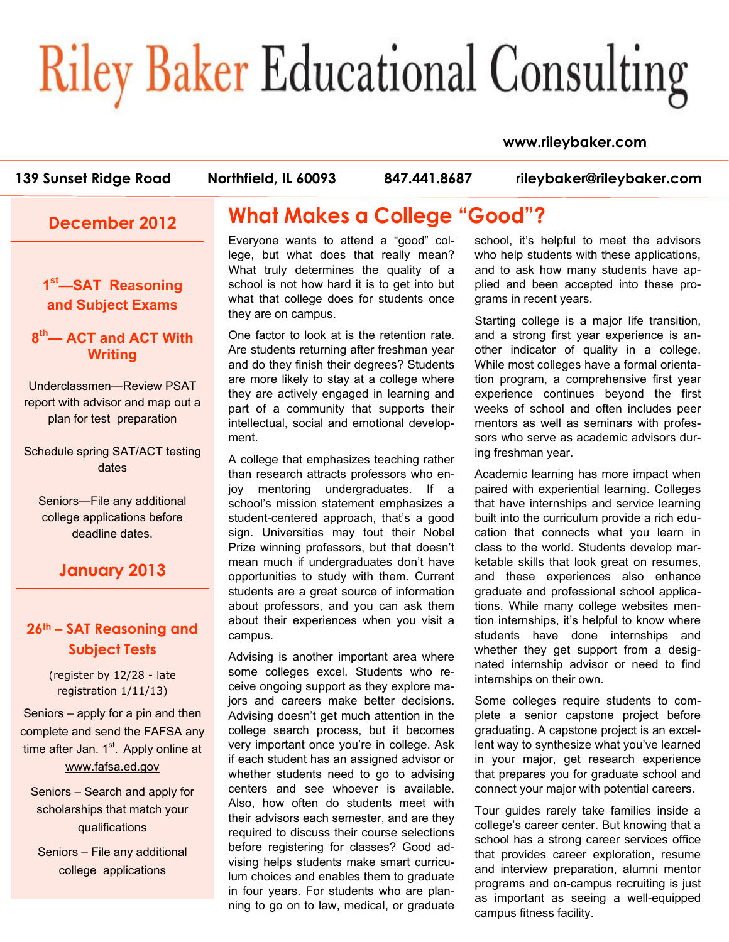# **Riley Baker Educational Consulting**

### **www.rileybaker.com**

programs and on-campus recruiting is just as important as seeing a well-equipped

campus fitness facility.

| 139 Sunset Ridge Road                                                                                    | Northfield, IL 60093<br>847.441.8687                                                                                                                                                                                                         | rileybaker@rileybaker.com                                                                                                                                                                                                       |
|----------------------------------------------------------------------------------------------------------|----------------------------------------------------------------------------------------------------------------------------------------------------------------------------------------------------------------------------------------------|---------------------------------------------------------------------------------------------------------------------------------------------------------------------------------------------------------------------------------|
| <b>December 2012</b>                                                                                     | <b>What Makes a College "Good"?</b>                                                                                                                                                                                                          |                                                                                                                                                                                                                                 |
| 1 <sup>st</sup> -SAT Reasoning<br>and Subject Exams                                                      | Everyone wants to attend a "good" col-<br>lege, but what does that really mean?<br>What truly determines the quality of a<br>school is not how hard it is to get into but<br>what that college does for students once<br>they are on campus. | school, it's helpful to meet the advisors<br>who help students with these applications,<br>and to ask how many students have ap-<br>plied and been accepted into these pro-<br>grams in recent years.                           |
| 8 <sup>th</sup> — ACT and ACT With<br><b>Writing</b>                                                     | One factor to look at is the retention rate.<br>Are students returning after freshman year<br>and do they finish their degrees? Students<br>are more likely to stay at a college where                                                       | Starting college is a major life transition,<br>and a strong first year experience is an-<br>other indicator of quality in a college.<br>While most colleges have a formal orienta-<br>tion program, a comprehensive first year |
| Underclassmen-Review PSAT<br>report with advisor and map out a<br>plan for test preparation              | they are actively engaged in learning and<br>part of a community that supports their<br>intellectual, social and emotional develop-<br>ment.                                                                                                 | experience continues beyond the first<br>weeks of school and often includes peer<br>mentors as well as seminars with profes-<br>sors who serve as academic advisors dur-                                                        |
| Schedule spring SAT/ACT testing<br>dates<br>Seniors-File any additional                                  | A college that emphasizes teaching rather<br>than research attracts professors who en-<br>undergraduates. If a<br>mentoring<br>joy<br>school's mission statement emphasizes a                                                                | ing freshman year.<br>Academic learning has more impact when<br>paired with experiential learning. Colleges<br>that have internships and service learning                                                                       |
| college applications before<br>deadline dates.                                                           | student-centered approach, that's a good<br>sign. Universities may tout their Nobel<br>Prize winning professors, but that doesn't<br>mean much if undergraduates don't have                                                                  | built into the curriculum provide a rich edu-<br>cation that connects what you learn in<br>class to the world. Students develop mar-<br>ketable skills that look great on resumes,                                              |
| <b>January 2013</b>                                                                                      | opportunities to study with them. Current<br>students are a great source of information<br>about professors, and you can ask them<br>about their experiences when you visit a                                                                | and these experiences also enhance<br>graduate and professional school applica-<br>tions. While many college websites men-<br>tion internships, it's helpful to know where                                                      |
| 26th - SAT Reasoning and<br><b>Subject Tests</b><br>(register by 12/28 - late                            | campus.<br>Advising is another important area where<br>some colleges excel. Students who re-                                                                                                                                                 | students have done internships and<br>whether they get support from a desig-<br>nated internship advisor or need to find                                                                                                        |
| registration 1/11/13)<br>Seniors – apply for a pin and then                                              | ceive ongoing support as they explore ma-<br>jors and careers make better decisions.<br>Advising doesn't get much attention in the<br>college search process, but it becomes                                                                 | internships on their own.<br>Some colleges require students to com-<br>plete a senior capstone project before<br>graduating. A capstone project is an excel-                                                                    |
| complete and send the FAFSA any<br>time after Jan. 1 <sup>st</sup> . Apply online at<br>www.fafsa.ed.gov | very important once you're in college. Ask<br>if each student has an assigned advisor or<br>whether students need to go to advising<br>centers and see whoever is available.                                                                 | lent way to synthesize what you've learned<br>in your major, get research experience<br>that prepares you for graduate school and<br>connect your major with potential careers.                                                 |
| Seniors - Search and apply for<br>scholarships that match your<br>qualifications                         | Also, how often do students meet with<br>their advisors each semester, and are they<br>required to discuss their course selections<br>before registering for classes? Good ad-                                                               | Tour guides rarely take families inside a<br>college's career center. But knowing that a<br>school has a strong career services office                                                                                          |
| Seniors - File any additional<br>college applications                                                    | vising helps students make smart curricu-                                                                                                                                                                                                    | that provides career exploration, resume<br>and interview preparation, alumni mentor                                                                                                                                            |

lum choices and enables them to graduate in four years. For students who are planning to go on to law, medical, or graduate

college applications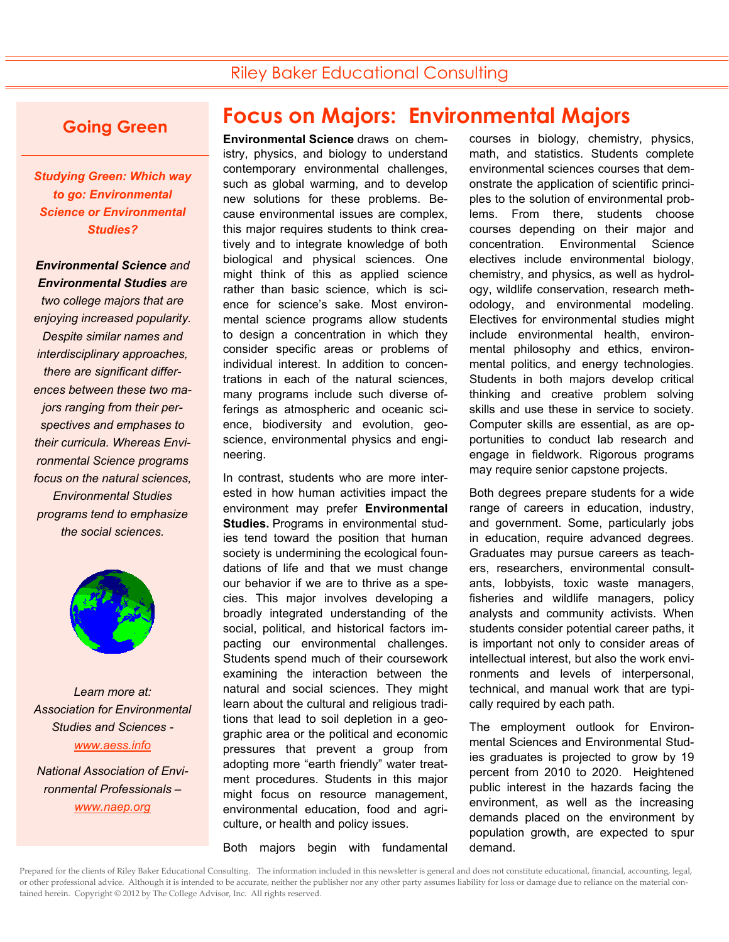### Riley Baker Educational Consulting

### **Going Green**

*Studying Green: Which way to go: Environmental Science or Environmental Studies?* 

### *Environmental Science and Environmental Studies are*

*two college majors that are enjoying increased popularity. Despite similar names and interdisciplinary approaches, there are significant differences between these two majors ranging from their perspectives and emphases to their curricula. Whereas Environmental Science programs focus on the natural sciences, Environmental Studies programs tend to emphasize the social sciences.* 



*Learn more at: Association for Environmental Studies and Sciences www.aess.info* 

*National Association of Environmental Professionals – www.naep.org* 

# **Focus on Majors: Environmental Majors**

**Environmental Science** draws on chemistry, physics, and biology to understand contemporary environmental challenges, such as global warming, and to develop new solutions for these problems. Because environmental issues are complex, this major requires students to think creatively and to integrate knowledge of both biological and physical sciences. One might think of this as applied science rather than basic science, which is science for science's sake. Most environmental science programs allow students to design a concentration in which they consider specific areas or problems of individual interest. In addition to concentrations in each of the natural sciences, many programs include such diverse offerings as atmospheric and oceanic science, biodiversity and evolution, geoscience, environmental physics and engineering.

In contrast, students who are more interested in how human activities impact the environment may prefer **Environmental Studies.** Programs in environmental studies tend toward the position that human society is undermining the ecological foundations of life and that we must change our behavior if we are to thrive as a species. This major involves developing a broadly integrated understanding of the social, political, and historical factors impacting our environmental challenges. Students spend much of their coursework examining the interaction between the natural and social sciences. They might learn about the cultural and religious traditions that lead to soil depletion in a geographic area or the political and economic pressures that prevent a group from adopting more "earth friendly" water treatment procedures. Students in this major might focus on resource management, environmental education, food and agriculture, or health and policy issues.

Both majors begin with fundamental

courses in biology, chemistry, physics, math, and statistics. Students complete environmental sciences courses that demonstrate the application of scientific principles to the solution of environmental problems. From there, students choose courses depending on their major and concentration. Environmental Science electives include environmental biology, chemistry, and physics, as well as hydrology, wildlife conservation, research methodology, and environmental modeling. Electives for environmental studies might include environmental health, environmental philosophy and ethics, environmental politics, and energy technologies. Students in both majors develop critical thinking and creative problem solving skills and use these in service to society. Computer skills are essential, as are opportunities to conduct lab research and engage in fieldwork. Rigorous programs may require senior capstone projects.

Both degrees prepare students for a wide range of careers in education, industry, and government. Some, particularly jobs in education, require advanced degrees. Graduates may pursue careers as teachers, researchers, environmental consultants, lobbyists, toxic waste managers, fisheries and wildlife managers, policy analysts and community activists. When students consider potential career paths, it is important not only to consider areas of intellectual interest, but also the work environments and levels of interpersonal, technical, and manual work that are typically required by each path.

The employment outlook for Environmental Sciences and Environmental Studies graduates is projected to grow by 19 percent from 2010 to 2020. Heightened public interest in the hazards facing the environment, as well as the increasing demands placed on the environment by population growth, are expected to spur demand.

Prepared for the clients of Riley Baker Educational Consulting. The information included in this newsletter is general and does not constitute educational, financial, accounting, legal, or other professional advice. Although it is intended to be accurate, neither the publisher nor any other party assumes liability for loss or damage due to reliance on the material contained herein. Copyright © 2012 by The College Advisor, Inc. All rights reserved.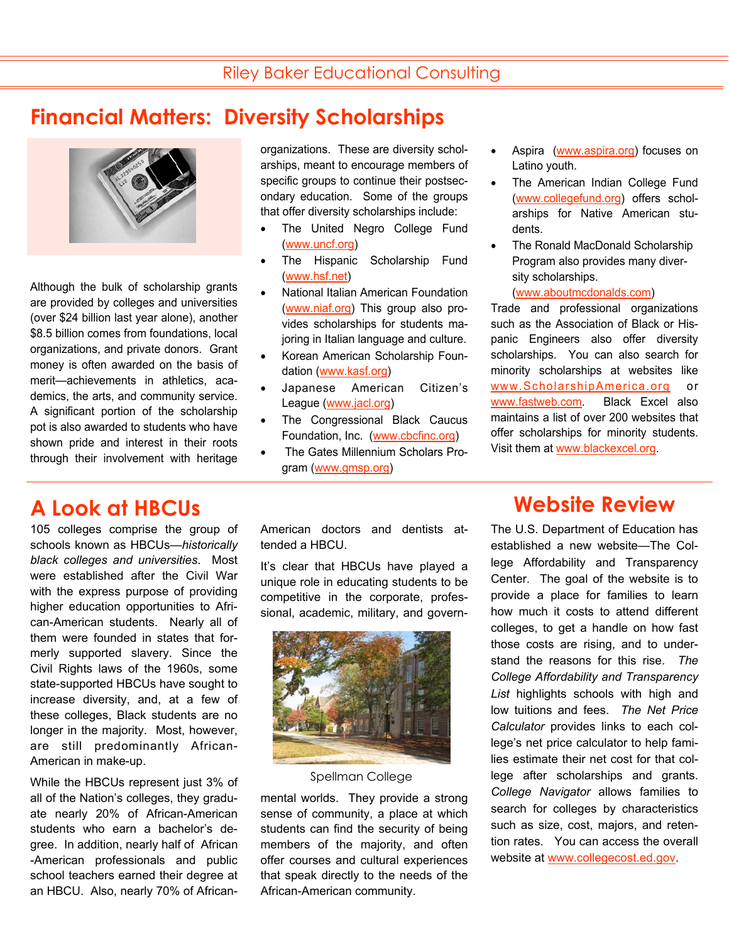# **Financial Matters: Diversity Scholarships**



Although the bulk of scholarship grants are provided by colleges and universities (over \$24 billion last year alone), another \$8.5 billion comes from foundations, local organizations, and private donors. Grant money is often awarded on the basis of merit—achievements in athletics, academics, the arts, and community service. A significant portion of the scholarship pot is also awarded to students who have shown pride and interest in their roots through their involvement with heritage

105 colleges comprise the group of schools known as HBCUs—*historically black colleges and universities*. Most were established after the Civil War with the express purpose of providing higher education opportunities to African-American students. Nearly all of them were founded in states that formerly supported slavery. Since the Civil Rights laws of the 1960s, some state-supported HBCUs have sought to increase diversity, and, at a few of these colleges, Black students are no longer in the majority. Most, however, are still predominantly African-American in make-up.

While the HBCUs represent just 3% of all of the Nation's colleges, they graduate nearly 20% of African-American students who earn a bachelor's degree. In addition, nearly half of African -American professionals and public school teachers earned their degree at an HBCU. Also, nearly 70% of Africanorganizations. These are diversity scholarships, meant to encourage members of specific groups to continue their postsecondary education. Some of the groups that offer diversity scholarships include:

- The United Negro College Fund (www.uncf.org)
- The Hispanic Scholarship Fund (www.hsf.net)
- National Italian American Foundation (www.niaf.org) This group also provides scholarships for students majoring in Italian language and culture.
- Korean American Scholarship Foundation (www.kasf.org)
- Japanese American Citizen's League (www.jacl.org)
- The Congressional Black Caucus Foundation, Inc. (www.cbcfinc.org)
- The Gates Millennium Scholars Program (www.gmsp.org)

American doctors and dentists attended a HBCU.

It's clear that HBCUs have played a unique role in educating students to be competitive in the corporate, professional, academic, military, and govern-



Spellman College

mental worlds. They provide a strong sense of community, a place at which students can find the security of being members of the majority, and often offer courses and cultural experiences that speak directly to the needs of the African-American community.

- Aspira (www.aspira.org) focuses on Latino youth.
- The American Indian College Fund (www.collegefund.org) offers scholarships for Native American students.
- The Ronald MacDonald Scholarship Program also provides many diversity scholarships.

### (www.aboutmcdonalds.com)

Trade and professional organizations such as the Association of Black or Hispanic Engineers also offer diversity scholarships. You can also search for minority scholarships at websites like www.ScholarshipAmerica.org or www.fastweb.com. Black Excel also maintains a list of over 200 websites that offer scholarships for minority students. Visit them at www.blackexcel.org.

# **A Look at HBCUs Website Review**

The U.S. Department of Education has established a new website—The College Affordability and Transparency Center. The goal of the website is to provide a place for families to learn how much it costs to attend different colleges, to get a handle on how fast those costs are rising, and to understand the reasons for this rise. *The College Affordability and Transparency List* highlights schools with high and low tuitions and fees. *The Net Price Calculator* provides links to each college's net price calculator to help families estimate their net cost for that college after scholarships and grants. *College Navigator* allows families to search for colleges by characteristics such as size, cost, majors, and retention rates. You can access the overall website at www.collegecost.ed.gov.